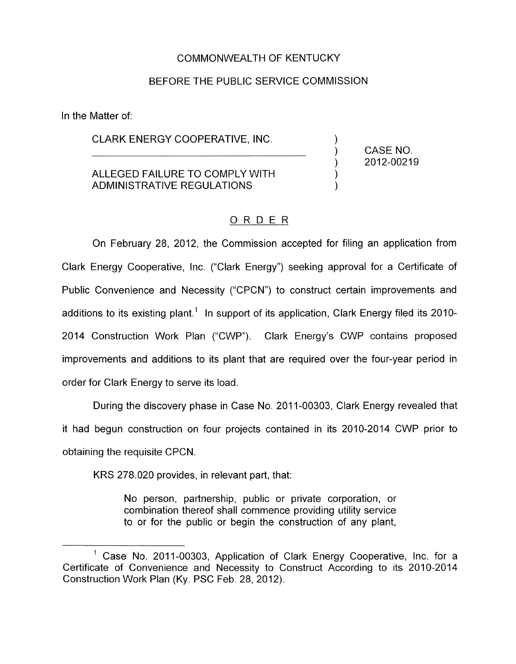#### COMMONWEALTH OF KENTUCKY

#### BEFORE THE PUBLIC SERVICE COMMISSION

In the Matter of:

# CLARK ENERGY COOPERATIVE, INC.

### ALLEGED FAILURE TO COMPLY WITH ADMINISTRATIVE REGULATIONS

 $)$  2012-00219 ) CASE NO.

1 )

# ORDER

On February 28, 2012, the Commission accepted for filing an application from Clark Energy Cooperative, Inc. ("Clark Energy") seeking approval for a Certificate of Public Convenience and Necessity ("CPCN") to construct certain improvements and additions to its existing plant.<sup>1</sup> In support of its application, Clark Energy filed its 2010-2014 Construction Work Plan ('CWP''). Clark Energy's CWP contains proposed improvements and additions to its plant that are required over the four-year period in order for Clark Energy to serve its load.

During the discovery phase in Case No. 2011-00303, Clark Energy revealed that it had begun construction on four projects contained in its 2010-2014 CWP prior to obtaining the requisite CPCN.

KRS 278.020 provides, in relevant part, that:

No person, partnership, public or private corporation, or combination thereof shall commence providing utility service to or for the public or begin the construction of any plant,

<sup>&</sup>lt;sup>1</sup> Case No. 2011-00303, Application of Clark Energy Cooperative, Inc. for a Certificate of Convenience and Necessity to Construct According to its 2010-2014 Construction Work Plan (Ky. PSC Feb. 28, 2012).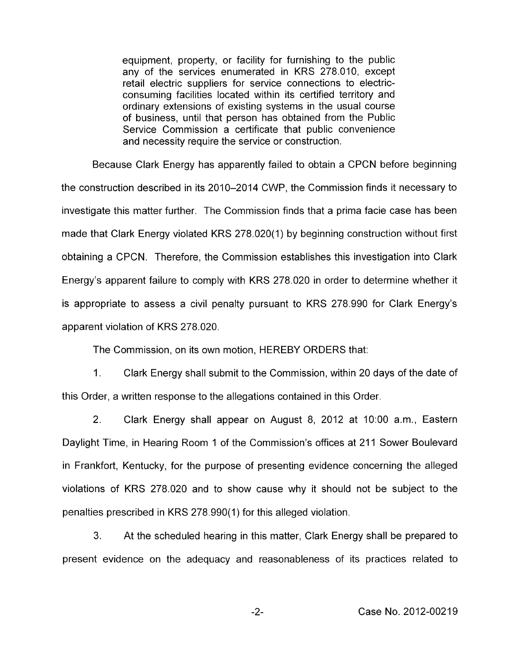equipment, property, or facility for furnishing to the public any of the services enumerated in KRS 278.010, except retail electric suppliers for service connections to electricconsuming facilities located within its certified territory and ordinary extensions of existing systems in the usual course of business, until that person has obtained from the Public Service Commission a certificate that public convenience and necessity require the service or construction.

Because Clark Energy has apparently failed to obtain a CPCN before beginning the construction described in its 2010-2014 CWP, the Commission finds it necessary to investigate this matter further. The Commission finds that a prima facie case has been made that Clark Energy violated KRS 278.020(1) by beginning construction without first obtaining a CPCN. Therefore, the Commission establishes this investigation into Clark Energy's apparent failure to comply with KRS 278.020 in order to determine whether it is appropriate to assess a civil penalty pursuant to KRS 278.990 for Clark Energy's apparent violation of KRS 278.020.

The Commission, on its own motion, HEREBY ORDERS that:

1. Clark Energy shall submit to the Commission, within 20 days of the date of this Order, a written response to the allegations contained in this Order.

2. Clark Energy shall appear on August 8, 2012 at 1O:OO a.m., Eastern Daylight Time, in Hearing Room 1 of the Commission's offices at 211 Sower Boulevard in Frankfort, Kentucky, for the purpose of presenting evidence concerning the alleged violations of KRS 278.020 and to show cause why it should not be subject to the penalties prescribed in KRS 278.990(1) for this alleged violation.

**3.** At the scheduled hearing in this matter, Clark Energy shall be prepared to present evidence on the adequacy and reasonableness of its practices related to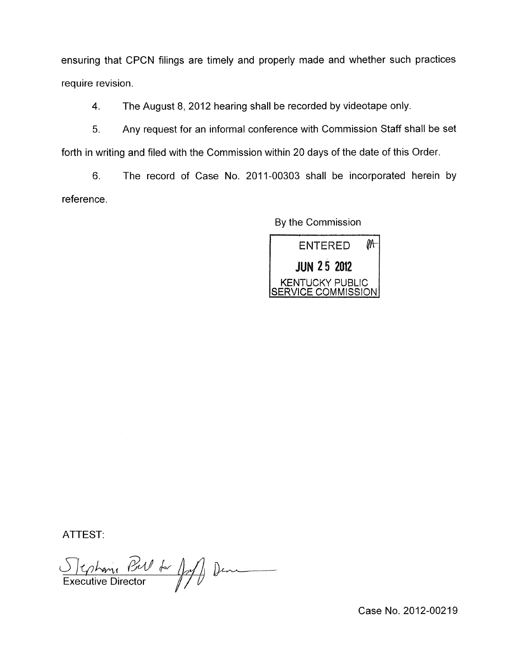ensuring that CPCN filings are timely and properly made and whether such practices require revision.

**4.**  The August 8, 2012 hearing shall be recorded by videotape only.

5. Any request for an informal conference with Commission Staff shall be set forth in writing and filed with the Commission within 20 days of the date of this Order.

6. The record of Case No. 2011-00303 shall be incorporated herein by reference.

By the Commission



ATTEST:

Stephanie Bul de fall Den

Case No. 2012-00219